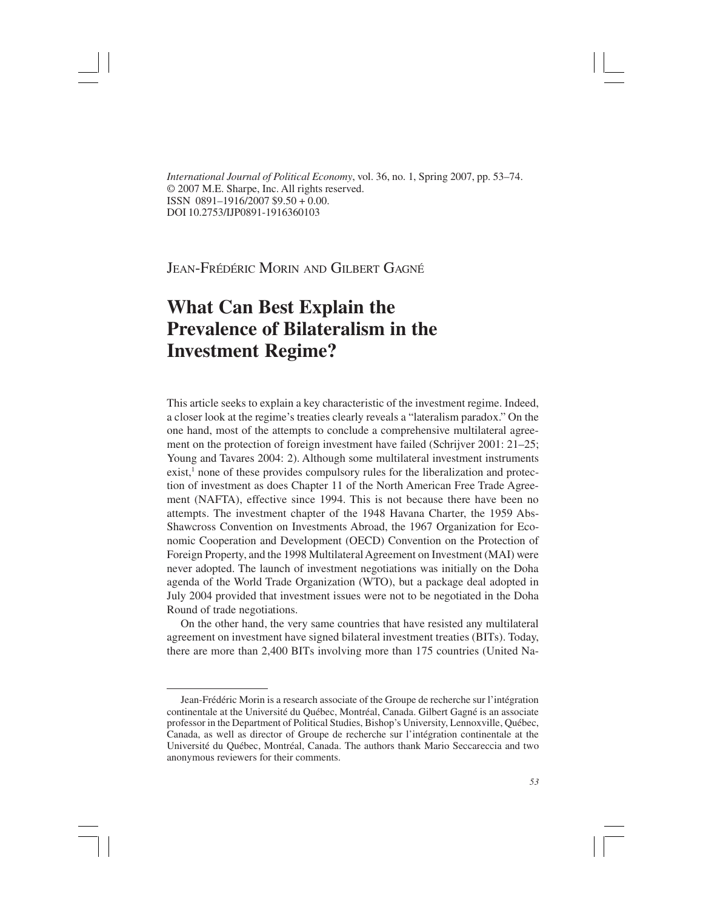*International Journal of Political Economy*, vol. 36, no. 1, Spring 2007, pp. 53–74. © 2007 M.E. Sharpe, Inc. All rights reserved. ISSN 0891–1916/2007 \$9.50 + 0.00. DOI 10.2753/IJP0891-1916360103

JEAN-FRÉDÉRIC MORIN AND GILBERT GAGNÉ

# **What Can Best Explain the Prevalence of Bilateralism in the Investment Regime?**

This article seeks to explain a key characteristic of the investment regime. Indeed, a closer look at the regime's treaties clearly reveals a "lateralism paradox." On the one hand, most of the attempts to conclude a comprehensive multilateral agreement on the protection of foreign investment have failed (Schrijver 2001: 21–25; Young and Tavares 2004: 2). Although some multilateral investment instruments exist,<sup>1</sup> none of these provides compulsory rules for the liberalization and protection of investment as does Chapter 11 of the North American Free Trade Agreement (NAFTA), effective since 1994. This is not because there have been no attempts. The investment chapter of the 1948 Havana Charter, the 1959 Abs-Shawcross Convention on Investments Abroad, the 1967 Organization for Economic Cooperation and Development (OECD) Convention on the Protection of Foreign Property, and the 1998 Multilateral Agreement on Investment (MAI) were never adopted. The launch of investment negotiations was initially on the Doha agenda of the World Trade Organization (WTO), but a package deal adopted in July 2004 provided that investment issues were not to be negotiated in the Doha Round of trade negotiations.

On the other hand, the very same countries that have resisted any multilateral agreement on investment have signed bilateral investment treaties (BITs). Today, there are more than 2,400 BITs involving more than 175 countries (United Na-

Jean-Frédéric Morin is a research associate of the Groupe de recherche sur l'intégration continentale at the Université du Québec, Montréal, Canada. Gilbert Gagné is an associate professor in the Department of Political Studies, Bishop's University, Lennoxville, Québec, Canada, as well as director of Groupe de recherche sur l'intégration continentale at the Université du Québec, Montréal, Canada. The authors thank Mario Seccareccia and two anonymous reviewers for their comments.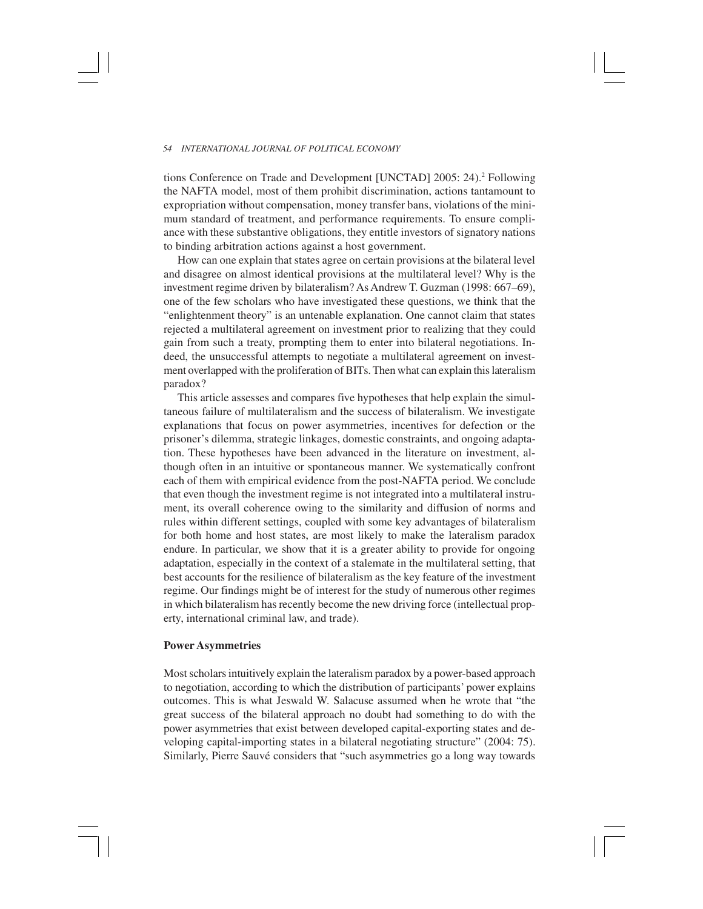tions Conference on Trade and Development [UNCTAD] 2005: 24).<sup>2</sup> Following the NAFTA model, most of them prohibit discrimination, actions tantamount to expropriation without compensation, money transfer bans, violations of the minimum standard of treatment, and performance requirements. To ensure compliance with these substantive obligations, they entitle investors of signatory nations to binding arbitration actions against a host government.

How can one explain that states agree on certain provisions at the bilateral level and disagree on almost identical provisions at the multilateral level? Why is the investment regime driven by bilateralism? As Andrew T. Guzman (1998: 667–69), one of the few scholars who have investigated these questions, we think that the "enlightenment theory" is an untenable explanation. One cannot claim that states rejected a multilateral agreement on investment prior to realizing that they could gain from such a treaty, prompting them to enter into bilateral negotiations. Indeed, the unsuccessful attempts to negotiate a multilateral agreement on investment overlapped with the proliferation of BITs. Then what can explain this lateralism paradox?

This article assesses and compares five hypotheses that help explain the simultaneous failure of multilateralism and the success of bilateralism. We investigate explanations that focus on power asymmetries, incentives for defection or the prisoner's dilemma, strategic linkages, domestic constraints, and ongoing adaptation. These hypotheses have been advanced in the literature on investment, although often in an intuitive or spontaneous manner. We systematically confront each of them with empirical evidence from the post-NAFTA period. We conclude that even though the investment regime is not integrated into a multilateral instrument, its overall coherence owing to the similarity and diffusion of norms and rules within different settings, coupled with some key advantages of bilateralism for both home and host states, are most likely to make the lateralism paradox endure. In particular, we show that it is a greater ability to provide for ongoing adaptation, especially in the context of a stalemate in the multilateral setting, that best accounts for the resilience of bilateralism as the key feature of the investment regime. Our findings might be of interest for the study of numerous other regimes in which bilateralism has recently become the new driving force (intellectual property, international criminal law, and trade).

#### **Power Asymmetries**

Most scholars intuitively explain the lateralism paradox by a power-based approach to negotiation, according to which the distribution of participants' power explains outcomes. This is what Jeswald W. Salacuse assumed when he wrote that "the great success of the bilateral approach no doubt had something to do with the power asymmetries that exist between developed capital-exporting states and developing capital-importing states in a bilateral negotiating structure" (2004: 75). Similarly, Pierre Sauvé considers that "such asymmetries go a long way towards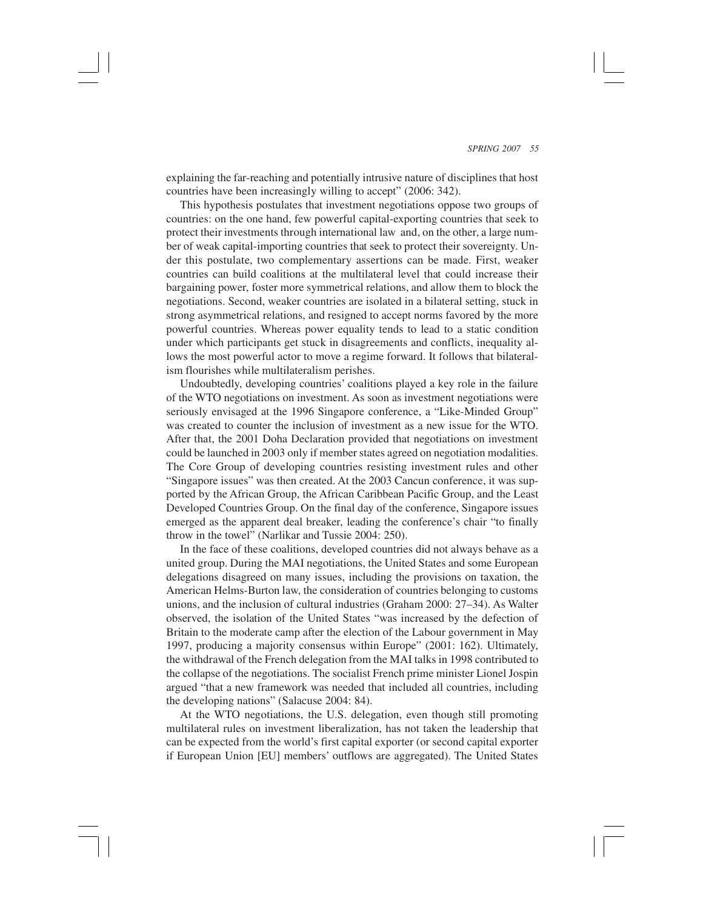explaining the far-reaching and potentially intrusive nature of disciplines that host countries have been increasingly willing to accept" (2006: 342).

This hypothesis postulates that investment negotiations oppose two groups of countries: on the one hand, few powerful capital-exporting countries that seek to protect their investments through international law and, on the other, a large number of weak capital-importing countries that seek to protect their sovereignty. Under this postulate, two complementary assertions can be made. First, weaker countries can build coalitions at the multilateral level that could increase their bargaining power, foster more symmetrical relations, and allow them to block the negotiations. Second, weaker countries are isolated in a bilateral setting, stuck in strong asymmetrical relations, and resigned to accept norms favored by the more powerful countries. Whereas power equality tends to lead to a static condition under which participants get stuck in disagreements and conflicts, inequality allows the most powerful actor to move a regime forward. It follows that bilateralism flourishes while multilateralism perishes.

Undoubtedly, developing countries' coalitions played a key role in the failure of the WTO negotiations on investment. As soon as investment negotiations were seriously envisaged at the 1996 Singapore conference, a "Like-Minded Group" was created to counter the inclusion of investment as a new issue for the WTO. After that, the 2001 Doha Declaration provided that negotiations on investment could be launched in 2003 only if member states agreed on negotiation modalities. The Core Group of developing countries resisting investment rules and other "Singapore issues" was then created. At the 2003 Cancun conference, it was supported by the African Group, the African Caribbean Pacific Group, and the Least Developed Countries Group. On the final day of the conference, Singapore issues emerged as the apparent deal breaker, leading the conference's chair "to finally throw in the towel" (Narlikar and Tussie 2004: 250).

In the face of these coalitions, developed countries did not always behave as a united group. During the MAI negotiations, the United States and some European delegations disagreed on many issues, including the provisions on taxation, the American Helms-Burton law, the consideration of countries belonging to customs unions, and the inclusion of cultural industries (Graham 2000: 27–34). As Walter observed, the isolation of the United States "was increased by the defection of Britain to the moderate camp after the election of the Labour government in May 1997, producing a majority consensus within Europe" (2001: 162). Ultimately, the withdrawal of the French delegation from the MAI talks in 1998 contributed to the collapse of the negotiations. The socialist French prime minister Lionel Jospin argued "that a new framework was needed that included all countries, including the developing nations" (Salacuse 2004: 84).

At the WTO negotiations, the U.S. delegation, even though still promoting multilateral rules on investment liberalization, has not taken the leadership that can be expected from the world's first capital exporter (or second capital exporter if European Union [EU] members' outflows are aggregated). The United States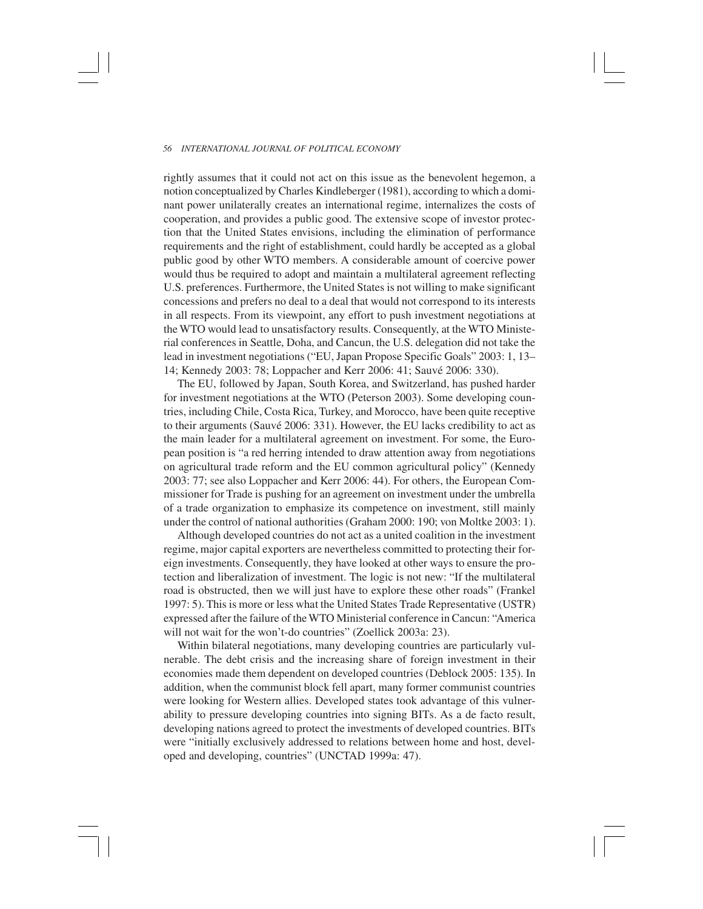rightly assumes that it could not act on this issue as the benevolent hegemon, a notion conceptualized by Charles Kindleberger (1981), according to which a dominant power unilaterally creates an international regime, internalizes the costs of cooperation, and provides a public good. The extensive scope of investor protection that the United States envisions, including the elimination of performance requirements and the right of establishment, could hardly be accepted as a global public good by other WTO members. A considerable amount of coercive power would thus be required to adopt and maintain a multilateral agreement reflecting U.S. preferences. Furthermore, the United States is not willing to make significant concessions and prefers no deal to a deal that would not correspond to its interests in all respects. From its viewpoint, any effort to push investment negotiations at the WTO would lead to unsatisfactory results. Consequently, at the WTO Ministerial conferences in Seattle, Doha, and Cancun, the U.S. delegation did not take the lead in investment negotiations ("EU, Japan Propose Specific Goals" 2003: 1, 13– 14; Kennedy 2003: 78; Loppacher and Kerr 2006: 41; Sauvé 2006: 330).

The EU, followed by Japan, South Korea, and Switzerland, has pushed harder for investment negotiations at the WTO (Peterson 2003). Some developing countries, including Chile, Costa Rica, Turkey, and Morocco, have been quite receptive to their arguments (Sauvé 2006: 331). However, the EU lacks credibility to act as the main leader for a multilateral agreement on investment. For some, the European position is "a red herring intended to draw attention away from negotiations on agricultural trade reform and the EU common agricultural policy" (Kennedy 2003: 77; see also Loppacher and Kerr 2006: 44). For others, the European Commissioner for Trade is pushing for an agreement on investment under the umbrella of a trade organization to emphasize its competence on investment, still mainly under the control of national authorities (Graham 2000: 190; von Moltke 2003: 1).

Although developed countries do not act as a united coalition in the investment regime, major capital exporters are nevertheless committed to protecting their foreign investments. Consequently, they have looked at other ways to ensure the protection and liberalization of investment. The logic is not new: "If the multilateral road is obstructed, then we will just have to explore these other roads" (Frankel 1997: 5). This is more or less what the United States Trade Representative (USTR) expressed after the failure of the WTO Ministerial conference in Cancun: "America will not wait for the won't-do countries" (Zoellick 2003a: 23).

Within bilateral negotiations, many developing countries are particularly vulnerable. The debt crisis and the increasing share of foreign investment in their economies made them dependent on developed countries (Deblock 2005: 135). In addition, when the communist block fell apart, many former communist countries were looking for Western allies. Developed states took advantage of this vulnerability to pressure developing countries into signing BITs. As a de facto result, developing nations agreed to protect the investments of developed countries. BITs were "initially exclusively addressed to relations between home and host, developed and developing, countries" (UNCTAD 1999a: 47).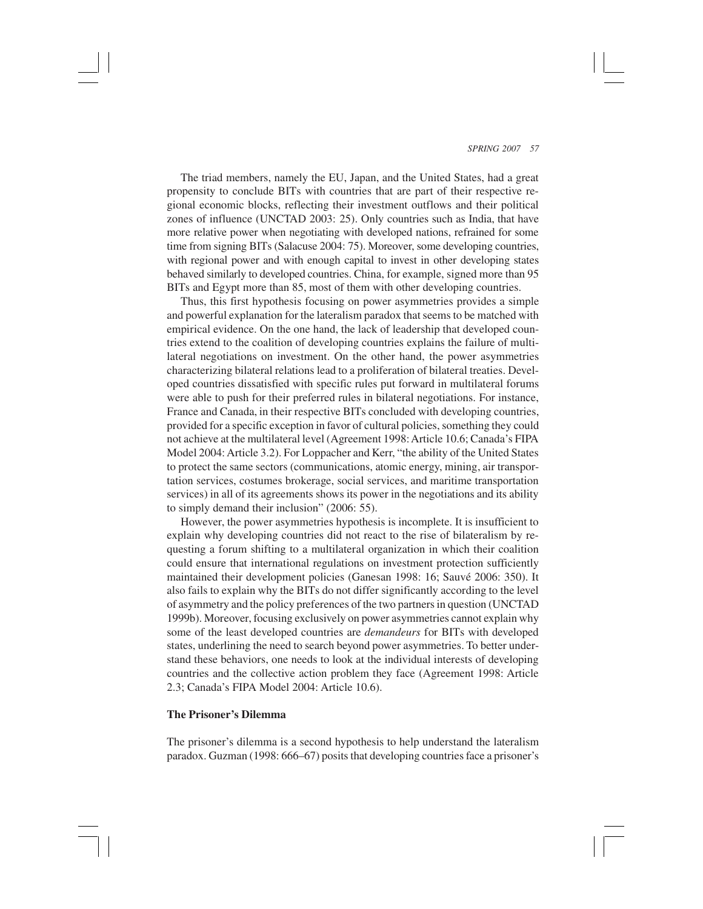The triad members, namely the EU, Japan, and the United States, had a great propensity to conclude BITs with countries that are part of their respective regional economic blocks, reflecting their investment outflows and their political zones of influence (UNCTAD 2003: 25). Only countries such as India, that have more relative power when negotiating with developed nations, refrained for some time from signing BITs (Salacuse 2004: 75). Moreover, some developing countries, with regional power and with enough capital to invest in other developing states behaved similarly to developed countries. China, for example, signed more than 95 BITs and Egypt more than 85, most of them with other developing countries.

Thus, this first hypothesis focusing on power asymmetries provides a simple and powerful explanation for the lateralism paradox that seems to be matched with empirical evidence. On the one hand, the lack of leadership that developed countries extend to the coalition of developing countries explains the failure of multilateral negotiations on investment. On the other hand, the power asymmetries characterizing bilateral relations lead to a proliferation of bilateral treaties. Developed countries dissatisfied with specific rules put forward in multilateral forums were able to push for their preferred rules in bilateral negotiations. For instance, France and Canada, in their respective BITs concluded with developing countries, provided for a specific exception in favor of cultural policies, something they could not achieve at the multilateral level (Agreement 1998: Article 10.6; Canada's FIPA Model 2004: Article 3.2). For Loppacher and Kerr, "the ability of the United States to protect the same sectors (communications, atomic energy, mining, air transportation services, costumes brokerage, social services, and maritime transportation services) in all of its agreements shows its power in the negotiations and its ability to simply demand their inclusion" (2006: 55).

However, the power asymmetries hypothesis is incomplete. It is insufficient to explain why developing countries did not react to the rise of bilateralism by requesting a forum shifting to a multilateral organization in which their coalition could ensure that international regulations on investment protection sufficiently maintained their development policies (Ganesan 1998: 16; Sauvé 2006: 350). It also fails to explain why the BITs do not differ significantly according to the level of asymmetry and the policy preferences of the two partners in question (UNCTAD 1999b). Moreover, focusing exclusively on power asymmetries cannot explain why some of the least developed countries are *demandeurs* for BITs with developed states, underlining the need to search beyond power asymmetries. To better understand these behaviors, one needs to look at the individual interests of developing countries and the collective action problem they face (Agreement 1998: Article 2.3; Canada's FIPA Model 2004: Article 10.6).

## **The Prisoner's Dilemma**

The prisoner's dilemma is a second hypothesis to help understand the lateralism paradox. Guzman (1998: 666–67) posits that developing countries face a prisoner's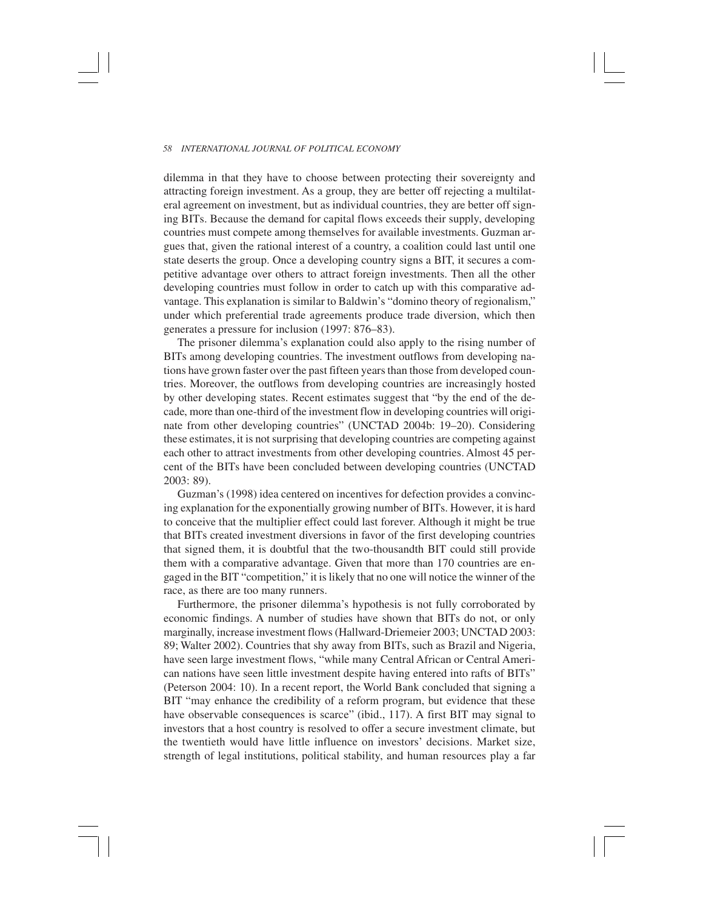dilemma in that they have to choose between protecting their sovereignty and attracting foreign investment. As a group, they are better off rejecting a multilateral agreement on investment, but as individual countries, they are better off signing BITs. Because the demand for capital flows exceeds their supply, developing countries must compete among themselves for available investments. Guzman argues that, given the rational interest of a country, a coalition could last until one state deserts the group. Once a developing country signs a BIT, it secures a competitive advantage over others to attract foreign investments. Then all the other developing countries must follow in order to catch up with this comparative advantage. This explanation is similar to Baldwin's "domino theory of regionalism," under which preferential trade agreements produce trade diversion, which then generates a pressure for inclusion (1997: 876–83).

The prisoner dilemma's explanation could also apply to the rising number of BITs among developing countries. The investment outflows from developing nations have grown faster over the past fifteen years than those from developed countries. Moreover, the outflows from developing countries are increasingly hosted by other developing states. Recent estimates suggest that "by the end of the decade, more than one-third of the investment flow in developing countries will originate from other developing countries" (UNCTAD 2004b: 19–20). Considering these estimates, it is not surprising that developing countries are competing against each other to attract investments from other developing countries. Almost 45 percent of the BITs have been concluded between developing countries (UNCTAD 2003: 89).

Guzman's (1998) idea centered on incentives for defection provides a convincing explanation for the exponentially growing number of BITs. However, it is hard to conceive that the multiplier effect could last forever. Although it might be true that BITs created investment diversions in favor of the first developing countries that signed them, it is doubtful that the two-thousandth BIT could still provide them with a comparative advantage. Given that more than 170 countries are engaged in the BIT "competition," it is likely that no one will notice the winner of the race, as there are too many runners.

Furthermore, the prisoner dilemma's hypothesis is not fully corroborated by economic findings. A number of studies have shown that BITs do not, or only marginally, increase investment flows (Hallward-Driemeier 2003; UNCTAD 2003: 89; Walter 2002). Countries that shy away from BITs, such as Brazil and Nigeria, have seen large investment flows, "while many Central African or Central American nations have seen little investment despite having entered into rafts of BITs" (Peterson 2004: 10). In a recent report, the World Bank concluded that signing a BIT "may enhance the credibility of a reform program, but evidence that these have observable consequences is scarce" (ibid., 117). A first BIT may signal to investors that a host country is resolved to offer a secure investment climate, but the twentieth would have little influence on investors' decisions. Market size, strength of legal institutions, political stability, and human resources play a far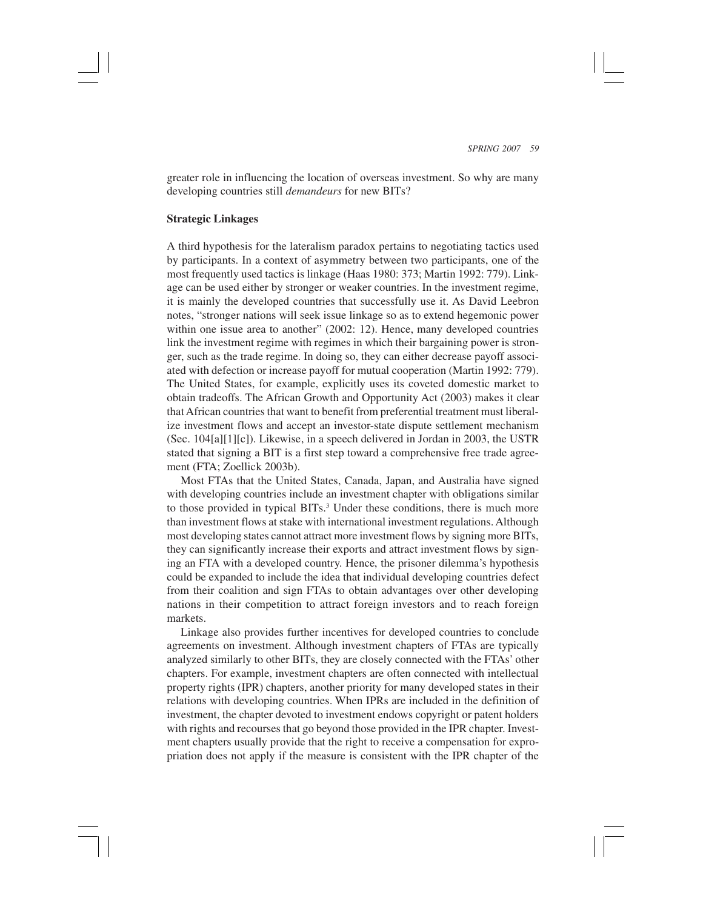greater role in influencing the location of overseas investment. So why are many developing countries still *demandeurs* for new BITs?

# **Strategic Linkages**

A third hypothesis for the lateralism paradox pertains to negotiating tactics used by participants. In a context of asymmetry between two participants, one of the most frequently used tactics is linkage (Haas 1980: 373; Martin 1992: 779). Linkage can be used either by stronger or weaker countries. In the investment regime, it is mainly the developed countries that successfully use it. As David Leebron notes, "stronger nations will seek issue linkage so as to extend hegemonic power within one issue area to another" (2002: 12). Hence, many developed countries link the investment regime with regimes in which their bargaining power is stronger, such as the trade regime. In doing so, they can either decrease payoff associated with defection or increase payoff for mutual cooperation (Martin 1992: 779). The United States, for example, explicitly uses its coveted domestic market to obtain tradeoffs. The African Growth and Opportunity Act (2003) makes it clear that African countries that want to benefit from preferential treatment must liberalize investment flows and accept an investor-state dispute settlement mechanism (Sec. 104[a][1][c]). Likewise, in a speech delivered in Jordan in 2003, the USTR stated that signing a BIT is a first step toward a comprehensive free trade agreement (FTA; Zoellick 2003b).

Most FTAs that the United States, Canada, Japan, and Australia have signed with developing countries include an investment chapter with obligations similar to those provided in typical BITs.<sup>3</sup> Under these conditions, there is much more than investment flows at stake with international investment regulations. Although most developing states cannot attract more investment flows by signing more BITs, they can significantly increase their exports and attract investment flows by signing an FTA with a developed country. Hence, the prisoner dilemma's hypothesis could be expanded to include the idea that individual developing countries defect from their coalition and sign FTAs to obtain advantages over other developing nations in their competition to attract foreign investors and to reach foreign markets.

Linkage also provides further incentives for developed countries to conclude agreements on investment. Although investment chapters of FTAs are typically analyzed similarly to other BITs, they are closely connected with the FTAs' other chapters. For example, investment chapters are often connected with intellectual property rights (IPR) chapters, another priority for many developed states in their relations with developing countries. When IPRs are included in the definition of investment, the chapter devoted to investment endows copyright or patent holders with rights and recourses that go beyond those provided in the IPR chapter. Investment chapters usually provide that the right to receive a compensation for expropriation does not apply if the measure is consistent with the IPR chapter of the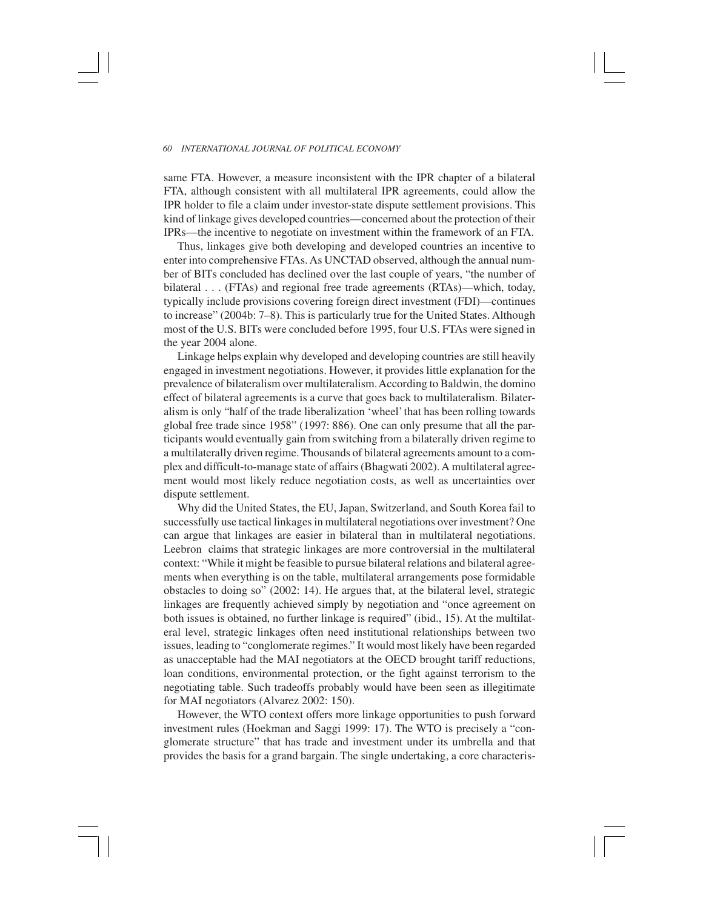same FTA. However, a measure inconsistent with the IPR chapter of a bilateral FTA, although consistent with all multilateral IPR agreements, could allow the IPR holder to file a claim under investor-state dispute settlement provisions. This kind of linkage gives developed countries—concerned about the protection of their IPRs—the incentive to negotiate on investment within the framework of an FTA.

Thus, linkages give both developing and developed countries an incentive to enter into comprehensive FTAs. As UNCTAD observed, although the annual number of BITs concluded has declined over the last couple of years, "the number of bilateral . . . (FTAs) and regional free trade agreements (RTAs)—which, today, typically include provisions covering foreign direct investment (FDI)—continues to increase" (2004b: 7–8). This is particularly true for the United States. Although most of the U.S. BITs were concluded before 1995, four U.S. FTAs were signed in the year 2004 alone.

Linkage helps explain why developed and developing countries are still heavily engaged in investment negotiations. However, it provides little explanation for the prevalence of bilateralism over multilateralism. According to Baldwin, the domino effect of bilateral agreements is a curve that goes back to multilateralism. Bilateralism is only "half of the trade liberalization 'wheel' that has been rolling towards global free trade since 1958" (1997: 886). One can only presume that all the participants would eventually gain from switching from a bilaterally driven regime to a multilaterally driven regime. Thousands of bilateral agreements amount to a complex and difficult-to-manage state of affairs (Bhagwati 2002). A multilateral agreement would most likely reduce negotiation costs, as well as uncertainties over dispute settlement.

Why did the United States, the EU, Japan, Switzerland, and South Korea fail to successfully use tactical linkages in multilateral negotiations over investment? One can argue that linkages are easier in bilateral than in multilateral negotiations. Leebron claims that strategic linkages are more controversial in the multilateral context: "While it might be feasible to pursue bilateral relations and bilateral agreements when everything is on the table, multilateral arrangements pose formidable obstacles to doing so" (2002: 14). He argues that, at the bilateral level, strategic linkages are frequently achieved simply by negotiation and "once agreement on both issues is obtained, no further linkage is required" (ibid., 15). At the multilateral level, strategic linkages often need institutional relationships between two issues, leading to "conglomerate regimes." It would most likely have been regarded as unacceptable had the MAI negotiators at the OECD brought tariff reductions, loan conditions, environmental protection, or the fight against terrorism to the negotiating table. Such tradeoffs probably would have been seen as illegitimate for MAI negotiators (Alvarez 2002: 150).

However, the WTO context offers more linkage opportunities to push forward investment rules (Hoekman and Saggi 1999: 17). The WTO is precisely a "conglomerate structure" that has trade and investment under its umbrella and that provides the basis for a grand bargain. The single undertaking, a core characteris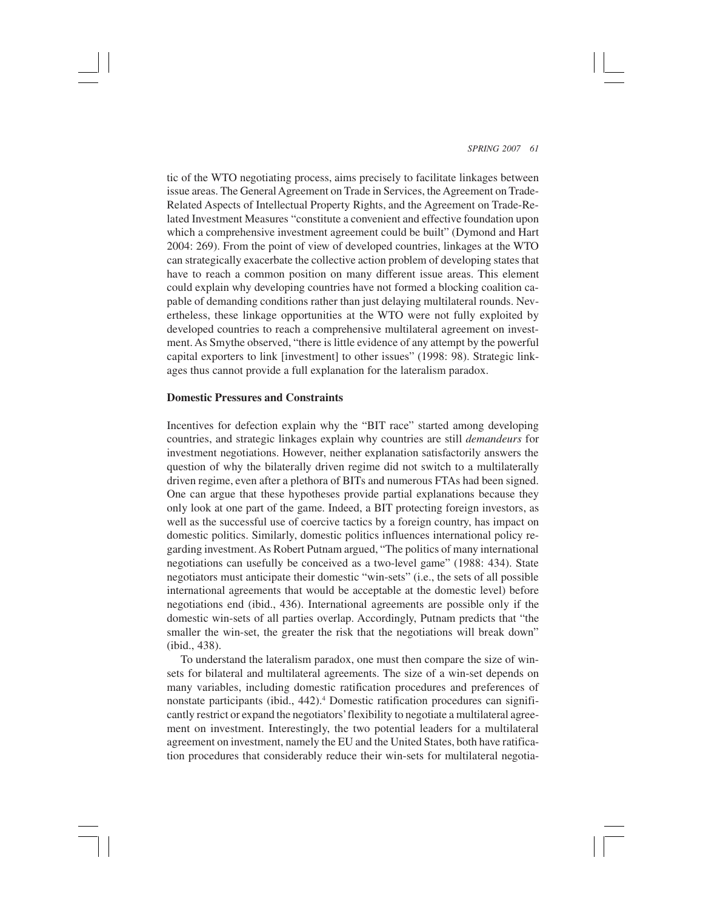tic of the WTO negotiating process, aims precisely to facilitate linkages between issue areas. The General Agreement on Trade in Services, the Agreement on Trade-Related Aspects of Intellectual Property Rights, and the Agreement on Trade-Related Investment Measures "constitute a convenient and effective foundation upon which a comprehensive investment agreement could be built" (Dymond and Hart 2004: 269). From the point of view of developed countries, linkages at the WTO can strategically exacerbate the collective action problem of developing states that have to reach a common position on many different issue areas. This element could explain why developing countries have not formed a blocking coalition capable of demanding conditions rather than just delaying multilateral rounds. Nevertheless, these linkage opportunities at the WTO were not fully exploited by developed countries to reach a comprehensive multilateral agreement on investment. As Smythe observed, "there is little evidence of any attempt by the powerful capital exporters to link [investment] to other issues" (1998: 98). Strategic linkages thus cannot provide a full explanation for the lateralism paradox.

## **Domestic Pressures and Constraints**

Incentives for defection explain why the "BIT race" started among developing countries, and strategic linkages explain why countries are still *demandeurs* for investment negotiations. However, neither explanation satisfactorily answers the question of why the bilaterally driven regime did not switch to a multilaterally driven regime, even after a plethora of BITs and numerous FTAs had been signed. One can argue that these hypotheses provide partial explanations because they only look at one part of the game. Indeed, a BIT protecting foreign investors, as well as the successful use of coercive tactics by a foreign country, has impact on domestic politics. Similarly, domestic politics influences international policy regarding investment. As Robert Putnam argued, "The politics of many international negotiations can usefully be conceived as a two-level game" (1988: 434). State negotiators must anticipate their domestic "win-sets" (i.e., the sets of all possible international agreements that would be acceptable at the domestic level) before negotiations end (ibid., 436). International agreements are possible only if the domestic win-sets of all parties overlap. Accordingly, Putnam predicts that "the smaller the win-set, the greater the risk that the negotiations will break down" (ibid., 438).

To understand the lateralism paradox, one must then compare the size of winsets for bilateral and multilateral agreements. The size of a win-set depends on many variables, including domestic ratification procedures and preferences of nonstate participants (ibid., 442).<sup>4</sup> Domestic ratification procedures can significantly restrict or expand the negotiators' flexibility to negotiate a multilateral agreement on investment. Interestingly, the two potential leaders for a multilateral agreement on investment, namely the EU and the United States, both have ratification procedures that considerably reduce their win-sets for multilateral negotia-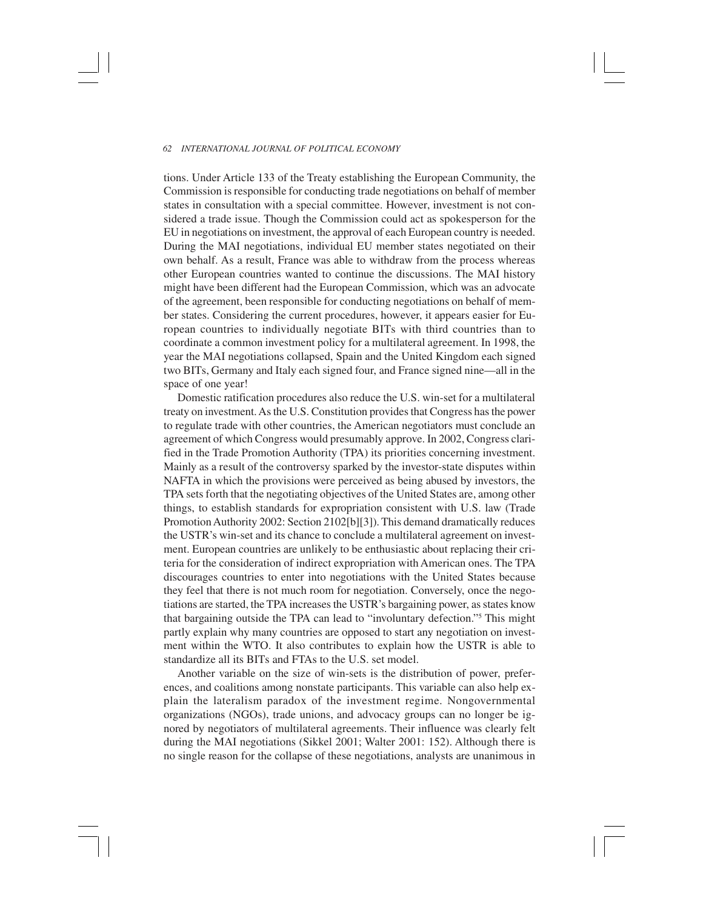tions. Under Article 133 of the Treaty establishing the European Community, the Commission is responsible for conducting trade negotiations on behalf of member states in consultation with a special committee. However, investment is not considered a trade issue. Though the Commission could act as spokesperson for the EU in negotiations on investment, the approval of each European country is needed. During the MAI negotiations, individual EU member states negotiated on their own behalf. As a result, France was able to withdraw from the process whereas other European countries wanted to continue the discussions. The MAI history might have been different had the European Commission, which was an advocate of the agreement, been responsible for conducting negotiations on behalf of member states. Considering the current procedures, however, it appears easier for European countries to individually negotiate BITs with third countries than to coordinate a common investment policy for a multilateral agreement. In 1998, the year the MAI negotiations collapsed, Spain and the United Kingdom each signed two BITs, Germany and Italy each signed four, and France signed nine—all in the space of one year!

Domestic ratification procedures also reduce the U.S. win-set for a multilateral treaty on investment. As the U.S. Constitution provides that Congress has the power to regulate trade with other countries, the American negotiators must conclude an agreement of which Congress would presumably approve. In 2002, Congress clarified in the Trade Promotion Authority (TPA) its priorities concerning investment. Mainly as a result of the controversy sparked by the investor-state disputes within NAFTA in which the provisions were perceived as being abused by investors, the TPA sets forth that the negotiating objectives of the United States are, among other things, to establish standards for expropriation consistent with U.S. law (Trade Promotion Authority 2002: Section 2102[b][3]). This demand dramatically reduces the USTR's win-set and its chance to conclude a multilateral agreement on investment. European countries are unlikely to be enthusiastic about replacing their criteria for the consideration of indirect expropriation with American ones. The TPA discourages countries to enter into negotiations with the United States because they feel that there is not much room for negotiation. Conversely, once the negotiations are started, the TPA increases the USTR's bargaining power, as states know that bargaining outside the TPA can lead to "involuntary defection."5 This might partly explain why many countries are opposed to start any negotiation on investment within the WTO. It also contributes to explain how the USTR is able to standardize all its BITs and FTAs to the U.S. set model.

Another variable on the size of win-sets is the distribution of power, preferences, and coalitions among nonstate participants. This variable can also help explain the lateralism paradox of the investment regime. Nongovernmental organizations (NGOs), trade unions, and advocacy groups can no longer be ignored by negotiators of multilateral agreements. Their influence was clearly felt during the MAI negotiations (Sikkel 2001; Walter 2001: 152). Although there is no single reason for the collapse of these negotiations, analysts are unanimous in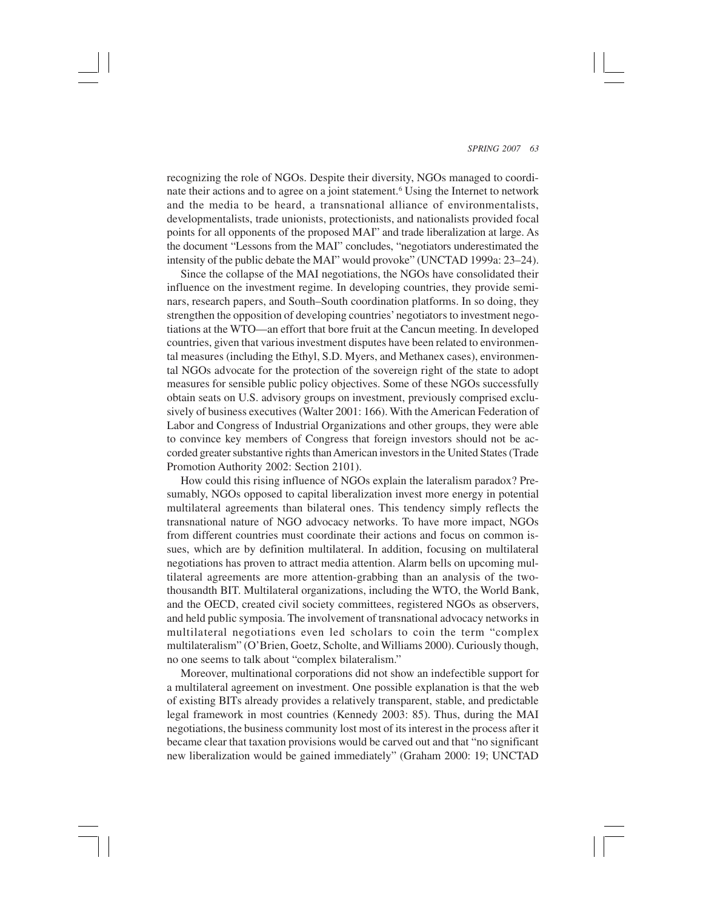recognizing the role of NGOs. Despite their diversity, NGOs managed to coordinate their actions and to agree on a joint statement.<sup>6</sup> Using the Internet to network and the media to be heard, a transnational alliance of environmentalists, developmentalists, trade unionists, protectionists, and nationalists provided focal points for all opponents of the proposed MAI" and trade liberalization at large. As the document "Lessons from the MAI" concludes, "negotiators underestimated the intensity of the public debate the MAI" would provoke" (UNCTAD 1999a: 23–24).

Since the collapse of the MAI negotiations, the NGOs have consolidated their influence on the investment regime. In developing countries, they provide seminars, research papers, and South–South coordination platforms. In so doing, they strengthen the opposition of developing countries' negotiators to investment negotiations at the WTO—an effort that bore fruit at the Cancun meeting. In developed countries, given that various investment disputes have been related to environmental measures (including the Ethyl, S.D. Myers, and Methanex cases), environmental NGOs advocate for the protection of the sovereign right of the state to adopt measures for sensible public policy objectives. Some of these NGOs successfully obtain seats on U.S. advisory groups on investment, previously comprised exclusively of business executives (Walter 2001: 166). With the American Federation of Labor and Congress of Industrial Organizations and other groups, they were able to convince key members of Congress that foreign investors should not be accorded greater substantive rights than American investors in the United States (Trade Promotion Authority 2002: Section 2101).

How could this rising influence of NGOs explain the lateralism paradox? Presumably, NGOs opposed to capital liberalization invest more energy in potential multilateral agreements than bilateral ones. This tendency simply reflects the transnational nature of NGO advocacy networks. To have more impact, NGOs from different countries must coordinate their actions and focus on common issues, which are by definition multilateral. In addition, focusing on multilateral negotiations has proven to attract media attention. Alarm bells on upcoming multilateral agreements are more attention-grabbing than an analysis of the twothousandth BIT. Multilateral organizations, including the WTO, the World Bank, and the OECD, created civil society committees, registered NGOs as observers, and held public symposia. The involvement of transnational advocacy networks in multilateral negotiations even led scholars to coin the term "complex multilateralism" (O'Brien, Goetz, Scholte, and Williams 2000). Curiously though, no one seems to talk about "complex bilateralism."

Moreover, multinational corporations did not show an indefectible support for a multilateral agreement on investment. One possible explanation is that the web of existing BITs already provides a relatively transparent, stable, and predictable legal framework in most countries (Kennedy 2003: 85). Thus, during the MAI negotiations, the business community lost most of its interest in the process after it became clear that taxation provisions would be carved out and that "no significant new liberalization would be gained immediately" (Graham 2000: 19; UNCTAD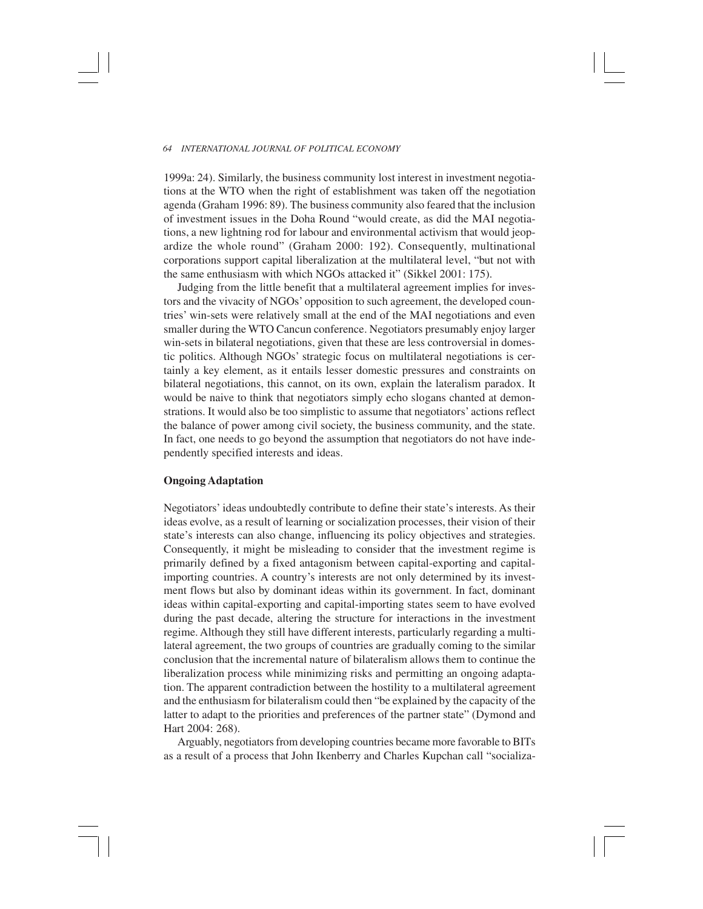1999a: 24). Similarly, the business community lost interest in investment negotiations at the WTO when the right of establishment was taken off the negotiation agenda (Graham 1996: 89). The business community also feared that the inclusion of investment issues in the Doha Round "would create, as did the MAI negotiations, a new lightning rod for labour and environmental activism that would jeopardize the whole round" (Graham 2000: 192). Consequently, multinational corporations support capital liberalization at the multilateral level, "but not with the same enthusiasm with which NGOs attacked it" (Sikkel 2001: 175).

Judging from the little benefit that a multilateral agreement implies for investors and the vivacity of NGOs' opposition to such agreement, the developed countries' win-sets were relatively small at the end of the MAI negotiations and even smaller during the WTO Cancun conference. Negotiators presumably enjoy larger win-sets in bilateral negotiations, given that these are less controversial in domestic politics. Although NGOs' strategic focus on multilateral negotiations is certainly a key element, as it entails lesser domestic pressures and constraints on bilateral negotiations, this cannot, on its own, explain the lateralism paradox. It would be naive to think that negotiators simply echo slogans chanted at demonstrations. It would also be too simplistic to assume that negotiators' actions reflect the balance of power among civil society, the business community, and the state. In fact, one needs to go beyond the assumption that negotiators do not have independently specified interests and ideas.

## **Ongoing Adaptation**

Negotiators' ideas undoubtedly contribute to define their state's interests. As their ideas evolve, as a result of learning or socialization processes, their vision of their state's interests can also change, influencing its policy objectives and strategies. Consequently, it might be misleading to consider that the investment regime is primarily defined by a fixed antagonism between capital-exporting and capitalimporting countries. A country's interests are not only determined by its investment flows but also by dominant ideas within its government. In fact, dominant ideas within capital-exporting and capital-importing states seem to have evolved during the past decade, altering the structure for interactions in the investment regime. Although they still have different interests, particularly regarding a multilateral agreement, the two groups of countries are gradually coming to the similar conclusion that the incremental nature of bilateralism allows them to continue the liberalization process while minimizing risks and permitting an ongoing adaptation. The apparent contradiction between the hostility to a multilateral agreement and the enthusiasm for bilateralism could then "be explained by the capacity of the latter to adapt to the priorities and preferences of the partner state" (Dymond and Hart 2004: 268).

Arguably, negotiators from developing countries became more favorable to BITs as a result of a process that John Ikenberry and Charles Kupchan call "socializa-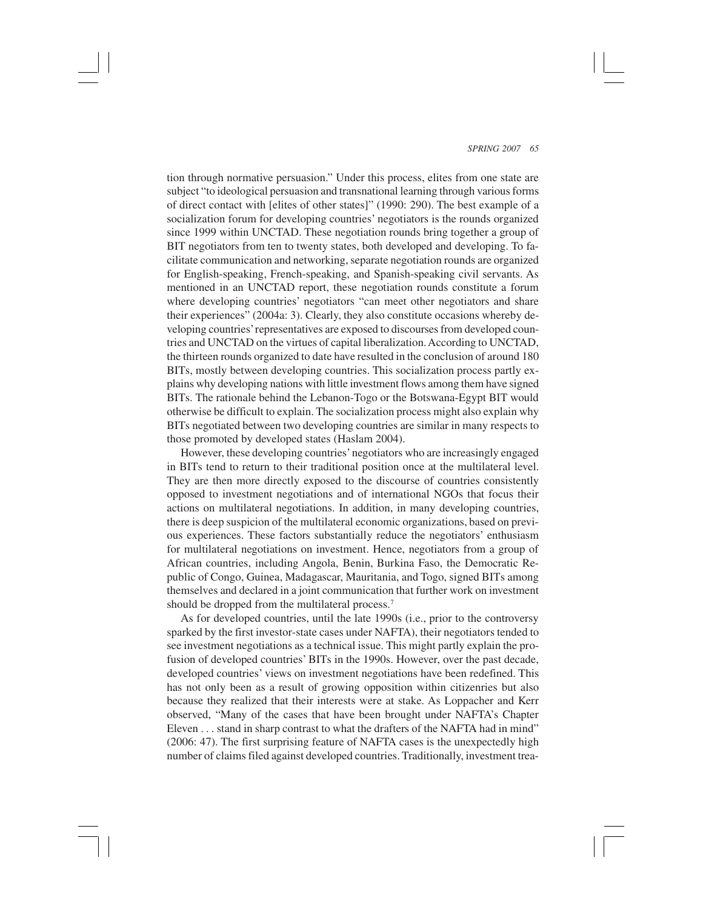tion through normative persuasion." Under this process, elites from one state are subject "to ideological persuasion and transnational learning through various forms of direct contact with [elites of other states]" (1990: 290). The best example of a socialization forum for developing countries' negotiators is the rounds organized since 1999 within UNCTAD. These negotiation rounds bring together a group of BIT negotiators from ten to twenty states, both developed and developing. To facilitate communication and networking, separate negotiation rounds are organized for English-speaking, French-speaking, and Spanish-speaking civil servants. As mentioned in an UNCTAD report, these negotiation rounds constitute a forum where developing countries' negotiators "can meet other negotiators and share their experiences" (2004a: 3). Clearly, they also constitute occasions whereby developing countries' representatives are exposed to discourses from developed countries and UNCTAD on the virtues of capital liberalization. According to UNCTAD, the thirteen rounds organized to date have resulted in the conclusion of around 180 BITs, mostly between developing countries. This socialization process partly explains why developing nations with little investment flows among them have signed BITs. The rationale behind the Lebanon-Togo or the Botswana-Egypt BIT would otherwise be difficult to explain. The socialization process might also explain why BITs negotiated between two developing countries are similar in many respects to those promoted by developed states (Haslam 2004).

However, these developing countries' negotiators who are increasingly engaged in BITs tend to return to their traditional position once at the multilateral level. They are then more directly exposed to the discourse of countries consistently opposed to investment negotiations and of international NGOs that focus their actions on multilateral negotiations. In addition, in many developing countries, there is deep suspicion of the multilateral economic organizations, based on previous experiences. These factors substantially reduce the negotiators' enthusiasm for multilateral negotiations on investment. Hence, negotiators from a group of African countries, including Angola, Benin, Burkina Faso, the Democratic Republic of Congo, Guinea, Madagascar, Mauritania, and Togo, signed BITs among themselves and declared in a joint communication that further work on investment should be dropped from the multilateral process.<sup>7</sup>

As for developed countries, until the late 1990s (i.e., prior to the controversy sparked by the first investor-state cases under NAFTA), their negotiators tended to see investment negotiations as a technical issue. This might partly explain the profusion of developed countries' BITs in the 1990s. However, over the past decade, developed countries' views on investment negotiations have been redefined. This has not only been as a result of growing opposition within citizenries but also because they realized that their interests were at stake. As Loppacher and Kerr observed, "Many of the cases that have been brought under NAFTA's Chapter Eleven . . . stand in sharp contrast to what the drafters of the NAFTA had in mind" (2006: 47). The first surprising feature of NAFTA cases is the unexpectedly high number of claims filed against developed countries. Traditionally, investment trea-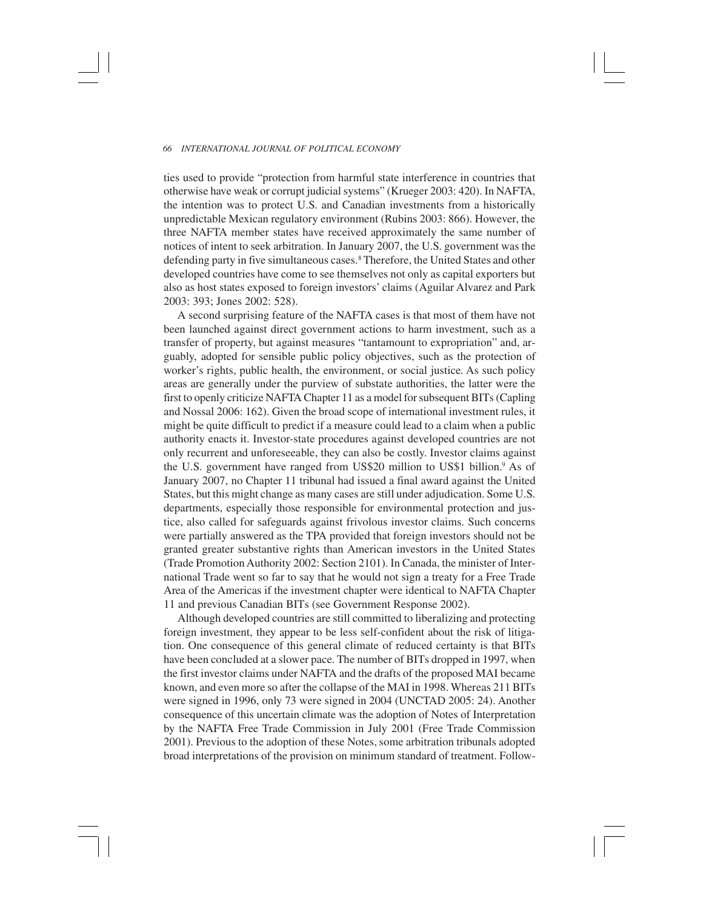ties used to provide "protection from harmful state interference in countries that otherwise have weak or corrupt judicial systems" (Krueger 2003: 420). In NAFTA, the intention was to protect U.S. and Canadian investments from a historically unpredictable Mexican regulatory environment (Rubins 2003: 866). However, the three NAFTA member states have received approximately the same number of notices of intent to seek arbitration. In January 2007, the U.S. government was the defending party in five simultaneous cases.<sup>8</sup> Therefore, the United States and other developed countries have come to see themselves not only as capital exporters but also as host states exposed to foreign investors' claims (Aguilar Alvarez and Park 2003: 393; Jones 2002: 528).

A second surprising feature of the NAFTA cases is that most of them have not been launched against direct government actions to harm investment, such as a transfer of property, but against measures "tantamount to expropriation" and, arguably, adopted for sensible public policy objectives, such as the protection of worker's rights, public health, the environment, or social justice. As such policy areas are generally under the purview of substate authorities, the latter were the first to openly criticize NAFTA Chapter 11 as a model for subsequent BITs (Capling and Nossal 2006: 162). Given the broad scope of international investment rules, it might be quite difficult to predict if a measure could lead to a claim when a public authority enacts it. Investor-state procedures against developed countries are not only recurrent and unforeseeable, they can also be costly. Investor claims against the U.S. government have ranged from US\$20 million to US\$1 billion.<sup>9</sup> As of January 2007, no Chapter 11 tribunal had issued a final award against the United States, but this might change as many cases are still under adjudication. Some U.S. departments, especially those responsible for environmental protection and justice, also called for safeguards against frivolous investor claims. Such concerns were partially answered as the TPA provided that foreign investors should not be granted greater substantive rights than American investors in the United States (Trade Promotion Authority 2002: Section 2101). In Canada, the minister of International Trade went so far to say that he would not sign a treaty for a Free Trade Area of the Americas if the investment chapter were identical to NAFTA Chapter 11 and previous Canadian BITs (see Government Response 2002).

Although developed countries are still committed to liberalizing and protecting foreign investment, they appear to be less self-confident about the risk of litigation. One consequence of this general climate of reduced certainty is that BITs have been concluded at a slower pace. The number of BITs dropped in 1997, when the first investor claims under NAFTA and the drafts of the proposed MAI became known, and even more so after the collapse of the MAI in 1998. Whereas 211 BITs were signed in 1996, only 73 were signed in 2004 (UNCTAD 2005: 24). Another consequence of this uncertain climate was the adoption of Notes of Interpretation by the NAFTA Free Trade Commission in July 2001 (Free Trade Commission 2001). Previous to the adoption of these Notes, some arbitration tribunals adopted broad interpretations of the provision on minimum standard of treatment. Follow-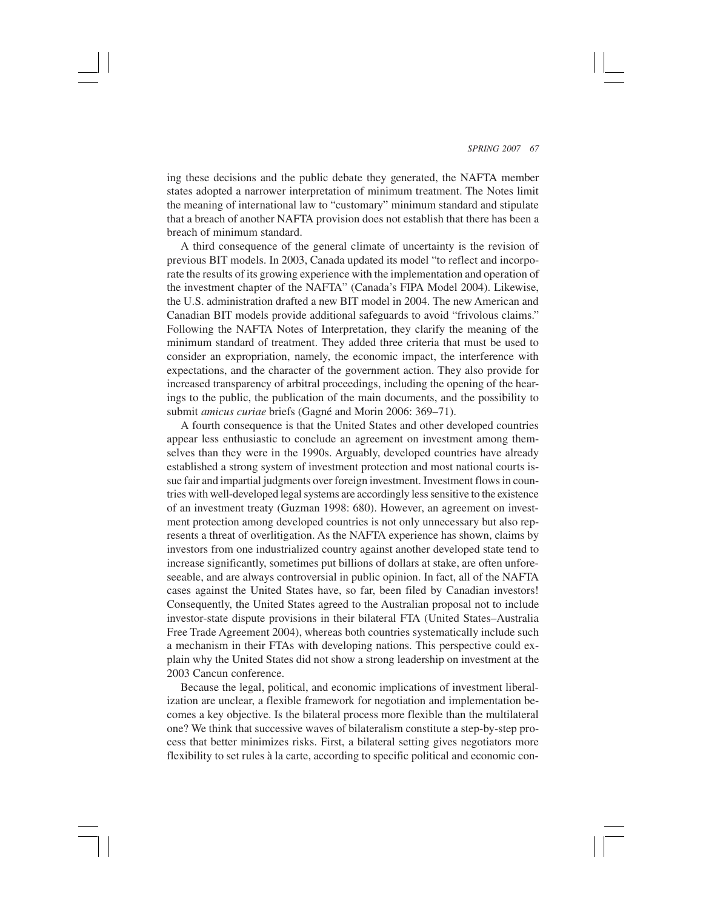ing these decisions and the public debate they generated, the NAFTA member states adopted a narrower interpretation of minimum treatment. The Notes limit the meaning of international law to "customary" minimum standard and stipulate that a breach of another NAFTA provision does not establish that there has been a breach of minimum standard.

A third consequence of the general climate of uncertainty is the revision of previous BIT models. In 2003, Canada updated its model "to reflect and incorporate the results of its growing experience with the implementation and operation of the investment chapter of the NAFTA" (Canada's FIPA Model 2004). Likewise, the U.S. administration drafted a new BIT model in 2004. The new American and Canadian BIT models provide additional safeguards to avoid "frivolous claims." Following the NAFTA Notes of Interpretation, they clarify the meaning of the minimum standard of treatment. They added three criteria that must be used to consider an expropriation, namely, the economic impact, the interference with expectations, and the character of the government action. They also provide for increased transparency of arbitral proceedings, including the opening of the hearings to the public, the publication of the main documents, and the possibility to submit *amicus curiae* briefs (Gagné and Morin 2006: 369–71).

A fourth consequence is that the United States and other developed countries appear less enthusiastic to conclude an agreement on investment among themselves than they were in the 1990s. Arguably, developed countries have already established a strong system of investment protection and most national courts issue fair and impartial judgments over foreign investment. Investment flows in countries with well-developed legal systems are accordingly less sensitive to the existence of an investment treaty (Guzman 1998: 680). However, an agreement on investment protection among developed countries is not only unnecessary but also represents a threat of overlitigation. As the NAFTA experience has shown, claims by investors from one industrialized country against another developed state tend to increase significantly, sometimes put billions of dollars at stake, are often unforeseeable, and are always controversial in public opinion. In fact, all of the NAFTA cases against the United States have, so far, been filed by Canadian investors! Consequently, the United States agreed to the Australian proposal not to include investor-state dispute provisions in their bilateral FTA (United States–Australia Free Trade Agreement 2004), whereas both countries systematically include such a mechanism in their FTAs with developing nations. This perspective could explain why the United States did not show a strong leadership on investment at the 2003 Cancun conference.

Because the legal, political, and economic implications of investment liberalization are unclear, a flexible framework for negotiation and implementation becomes a key objective. Is the bilateral process more flexible than the multilateral one? We think that successive waves of bilateralism constitute a step-by-step process that better minimizes risks. First, a bilateral setting gives negotiators more flexibility to set rules à la carte, according to specific political and economic con-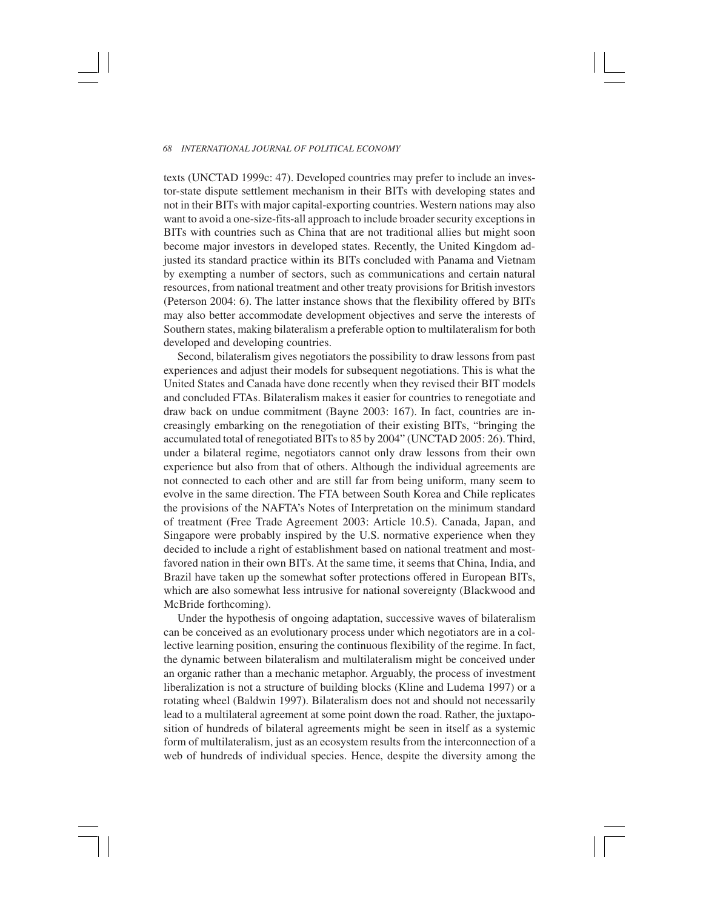texts (UNCTAD 1999c: 47). Developed countries may prefer to include an investor-state dispute settlement mechanism in their BITs with developing states and not in their BITs with major capital-exporting countries. Western nations may also want to avoid a one-size-fits-all approach to include broader security exceptions in BITs with countries such as China that are not traditional allies but might soon become major investors in developed states. Recently, the United Kingdom adjusted its standard practice within its BITs concluded with Panama and Vietnam by exempting a number of sectors, such as communications and certain natural resources, from national treatment and other treaty provisions for British investors (Peterson 2004: 6). The latter instance shows that the flexibility offered by BITs may also better accommodate development objectives and serve the interests of Southern states, making bilateralism a preferable option to multilateralism for both developed and developing countries.

Second, bilateralism gives negotiators the possibility to draw lessons from past experiences and adjust their models for subsequent negotiations. This is what the United States and Canada have done recently when they revised their BIT models and concluded FTAs. Bilateralism makes it easier for countries to renegotiate and draw back on undue commitment (Bayne 2003: 167). In fact, countries are increasingly embarking on the renegotiation of their existing BITs, "bringing the accumulated total of renegotiated BITs to 85 by 2004" (UNCTAD 2005: 26). Third, under a bilateral regime, negotiators cannot only draw lessons from their own experience but also from that of others. Although the individual agreements are not connected to each other and are still far from being uniform, many seem to evolve in the same direction. The FTA between South Korea and Chile replicates the provisions of the NAFTA's Notes of Interpretation on the minimum standard of treatment (Free Trade Agreement 2003: Article 10.5). Canada, Japan, and Singapore were probably inspired by the U.S. normative experience when they decided to include a right of establishment based on national treatment and mostfavored nation in their own BITs. At the same time, it seems that China, India, and Brazil have taken up the somewhat softer protections offered in European BITs, which are also somewhat less intrusive for national sovereignty (Blackwood and McBride forthcoming).

Under the hypothesis of ongoing adaptation, successive waves of bilateralism can be conceived as an evolutionary process under which negotiators are in a collective learning position, ensuring the continuous flexibility of the regime. In fact, the dynamic between bilateralism and multilateralism might be conceived under an organic rather than a mechanic metaphor. Arguably, the process of investment liberalization is not a structure of building blocks (Kline and Ludema 1997) or a rotating wheel (Baldwin 1997). Bilateralism does not and should not necessarily lead to a multilateral agreement at some point down the road. Rather, the juxtaposition of hundreds of bilateral agreements might be seen in itself as a systemic form of multilateralism, just as an ecosystem results from the interconnection of a web of hundreds of individual species. Hence, despite the diversity among the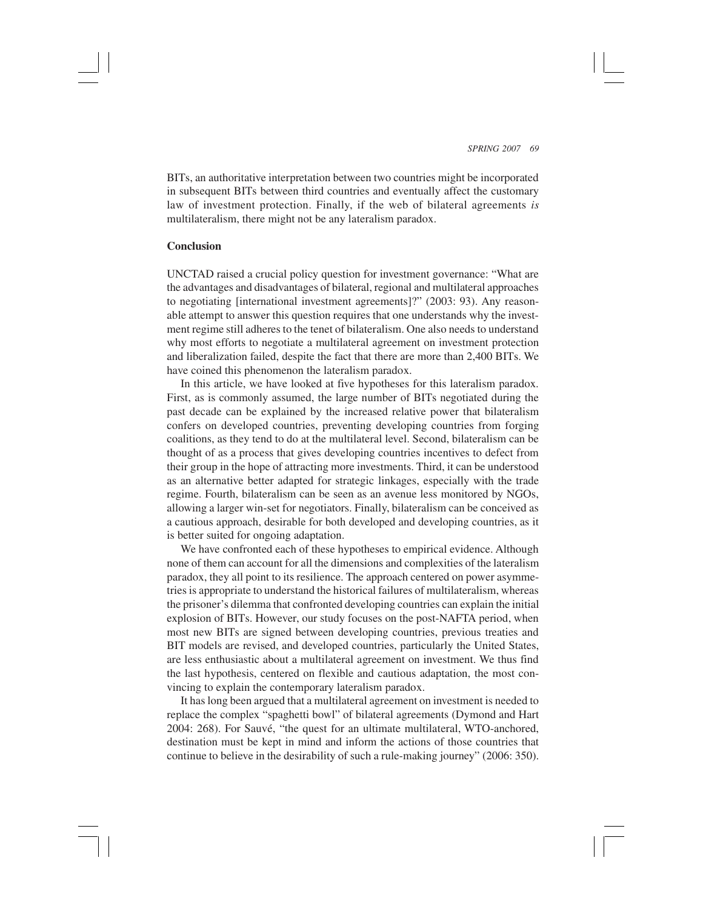BITs, an authoritative interpretation between two countries might be incorporated in subsequent BITs between third countries and eventually affect the customary law of investment protection. Finally, if the web of bilateral agreements *is* multilateralism, there might not be any lateralism paradox.

# **Conclusion**

UNCTAD raised a crucial policy question for investment governance: "What are the advantages and disadvantages of bilateral, regional and multilateral approaches to negotiating [international investment agreements]?" (2003: 93). Any reasonable attempt to answer this question requires that one understands why the investment regime still adheres to the tenet of bilateralism. One also needs to understand why most efforts to negotiate a multilateral agreement on investment protection and liberalization failed, despite the fact that there are more than 2,400 BITs. We have coined this phenomenon the lateralism paradox.

In this article, we have looked at five hypotheses for this lateralism paradox. First, as is commonly assumed, the large number of BITs negotiated during the past decade can be explained by the increased relative power that bilateralism confers on developed countries, preventing developing countries from forging coalitions, as they tend to do at the multilateral level. Second, bilateralism can be thought of as a process that gives developing countries incentives to defect from their group in the hope of attracting more investments. Third, it can be understood as an alternative better adapted for strategic linkages, especially with the trade regime. Fourth, bilateralism can be seen as an avenue less monitored by NGOs, allowing a larger win-set for negotiators. Finally, bilateralism can be conceived as a cautious approach, desirable for both developed and developing countries, as it is better suited for ongoing adaptation.

We have confronted each of these hypotheses to empirical evidence. Although none of them can account for all the dimensions and complexities of the lateralism paradox, they all point to its resilience. The approach centered on power asymmetries is appropriate to understand the historical failures of multilateralism, whereas the prisoner's dilemma that confronted developing countries can explain the initial explosion of BITs. However, our study focuses on the post-NAFTA period, when most new BITs are signed between developing countries, previous treaties and BIT models are revised, and developed countries, particularly the United States, are less enthusiastic about a multilateral agreement on investment. We thus find the last hypothesis, centered on flexible and cautious adaptation, the most convincing to explain the contemporary lateralism paradox.

It has long been argued that a multilateral agreement on investment is needed to replace the complex "spaghetti bowl" of bilateral agreements (Dymond and Hart 2004: 268). For Sauvé, "the quest for an ultimate multilateral, WTO-anchored, destination must be kept in mind and inform the actions of those countries that continue to believe in the desirability of such a rule-making journey" (2006: 350).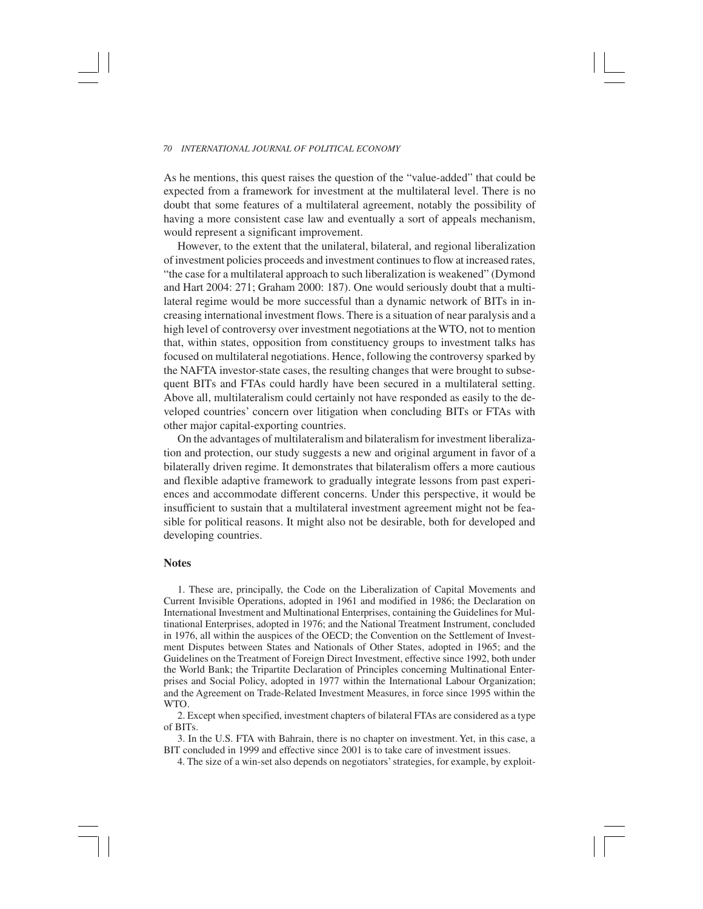As he mentions, this quest raises the question of the "value-added" that could be expected from a framework for investment at the multilateral level. There is no doubt that some features of a multilateral agreement, notably the possibility of having a more consistent case law and eventually a sort of appeals mechanism, would represent a significant improvement.

However, to the extent that the unilateral, bilateral, and regional liberalization of investment policies proceeds and investment continues to flow at increased rates, "the case for a multilateral approach to such liberalization is weakened" (Dymond and Hart 2004: 271; Graham 2000: 187). One would seriously doubt that a multilateral regime would be more successful than a dynamic network of BITs in increasing international investment flows. There is a situation of near paralysis and a high level of controversy over investment negotiations at the WTO, not to mention that, within states, opposition from constituency groups to investment talks has focused on multilateral negotiations. Hence, following the controversy sparked by the NAFTA investor-state cases, the resulting changes that were brought to subsequent BITs and FTAs could hardly have been secured in a multilateral setting. Above all, multilateralism could certainly not have responded as easily to the developed countries' concern over litigation when concluding BITs or FTAs with other major capital-exporting countries.

On the advantages of multilateralism and bilateralism for investment liberalization and protection, our study suggests a new and original argument in favor of a bilaterally driven regime. It demonstrates that bilateralism offers a more cautious and flexible adaptive framework to gradually integrate lessons from past experiences and accommodate different concerns. Under this perspective, it would be insufficient to sustain that a multilateral investment agreement might not be feasible for political reasons. It might also not be desirable, both for developed and developing countries.

## **Notes**

1. These are, principally, the Code on the Liberalization of Capital Movements and Current Invisible Operations, adopted in 1961 and modified in 1986; the Declaration on International Investment and Multinational Enterprises, containing the Guidelines for Multinational Enterprises, adopted in 1976; and the National Treatment Instrument, concluded in 1976, all within the auspices of the OECD; the Convention on the Settlement of Investment Disputes between States and Nationals of Other States, adopted in 1965; and the Guidelines on the Treatment of Foreign Direct Investment, effective since 1992, both under the World Bank; the Tripartite Declaration of Principles concerning Multinational Enterprises and Social Policy, adopted in 1977 within the International Labour Organization; and the Agreement on Trade-Related Investment Measures, in force since 1995 within the WTO.

2. Except when specified, investment chapters of bilateral FTAs are considered as a type of BITs.

3. In the U.S. FTA with Bahrain, there is no chapter on investment. Yet, in this case, a BIT concluded in 1999 and effective since 2001 is to take care of investment issues.

4. The size of a win-set also depends on negotiators' strategies, for example, by exploit-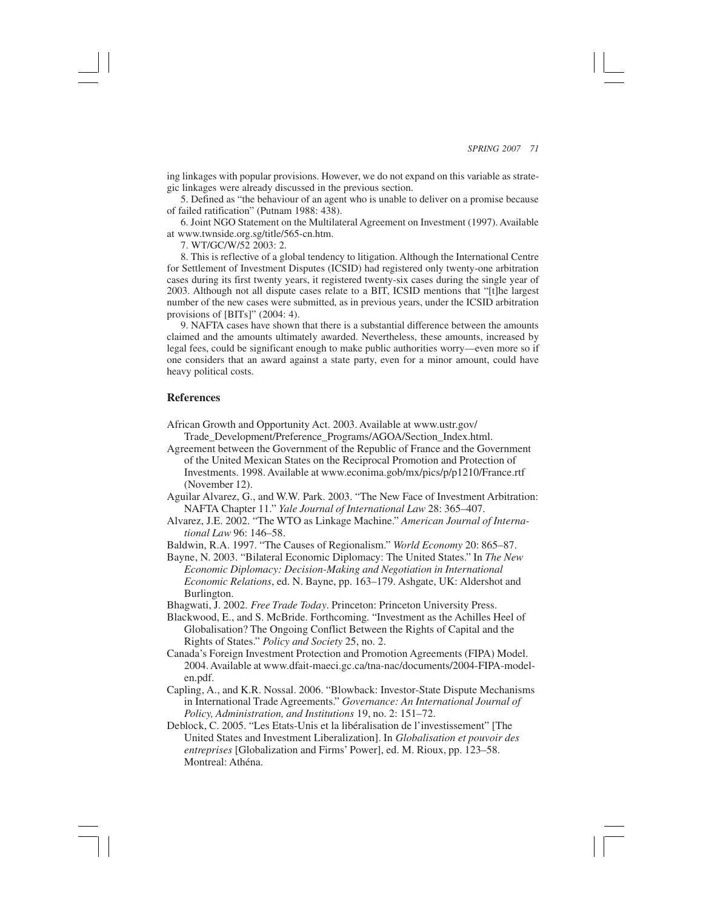ing linkages with popular provisions. However, we do not expand on this variable as strategic linkages were already discussed in the previous section.

5. Defined as "the behaviour of an agent who is unable to deliver on a promise because of failed ratification" (Putnam 1988: 438).

6. Joint NGO Statement on the Multilateral Agreement on Investment (1997). Available at www.twnside.org.sg/title/565-cn.htm.

7. WT/GC/W/52 2003: 2.

8. This is reflective of a global tendency to litigation. Although the International Centre for Settlement of Investment Disputes (ICSID) had registered only twenty-one arbitration cases during its first twenty years, it registered twenty-six cases during the single year of 2003. Although not all dispute cases relate to a BIT, ICSID mentions that "[t]he largest number of the new cases were submitted, as in previous years, under the ICSID arbitration provisions of [BITs]" (2004: 4).

9. NAFTA cases have shown that there is a substantial difference between the amounts claimed and the amounts ultimately awarded. Nevertheless, these amounts, increased by legal fees, could be significant enough to make public authorities worry—even more so if one considers that an award against a state party, even for a minor amount, could have heavy political costs.

# **References**

African Growth and Opportunity Act. 2003. Available at www.ustr.gov/ Trade\_Development/Preference\_Programs/AGOA/Section\_Index.html.

- Agreement between the Government of the Republic of France and the Government of the United Mexican States on the Reciprocal Promotion and Protection of Investments. 1998. Available at www.econima.gob/mx/pics/p/p1210/France.rtf (November 12).
- Aguilar Alvarez, G., and W.W. Park. 2003. "The New Face of Investment Arbitration: NAFTA Chapter 11." *Yale Journal of International Law* 28: 365–407.
- Alvarez, J.E. 2002. "The WTO as Linkage Machine." *American Journal of International Law* 96: 146–58.
- Baldwin, R.A. 1997. "The Causes of Regionalism." *World Economy* 20: 865–87.
- Bayne, N. 2003. "Bilateral Economic Diplomacy: The United States." In *The New Economic Diplomacy: Decision-Making and Negotiation in International Economic Relations*, ed. N. Bayne, pp. 163–179. Ashgate, UK: Aldershot and Burlington.

Bhagwati, J. 2002. *Free Trade Today*. Princeton: Princeton University Press.

Blackwood, E., and S. McBride. Forthcoming. "Investment as the Achilles Heel of Globalisation? The Ongoing Conflict Between the Rights of Capital and the Rights of States." *Policy and Society* 25, no. 2.

Canada's Foreign Investment Protection and Promotion Agreements (FIPA) Model. 2004. Available at www.dfait-maeci.gc.ca/tna-nac/documents/2004-FIPA-modelen.pdf.

Capling, A., and K.R. Nossal. 2006. "Blowback: Investor-State Dispute Mechanisms in International Trade Agreements." *Governance: An International Journal of Policy, Administration, and Institutions* 19, no. 2: 151–72.

Deblock, C. 2005. "Les Etats-Unis et la libéralisation de l'investissement" [The United States and Investment Liberalization]. In *Globalisation et pouvoir des entreprises* [Globalization and Firms' Power], ed. M. Rioux, pp. 123–58. Montreal: Athéna.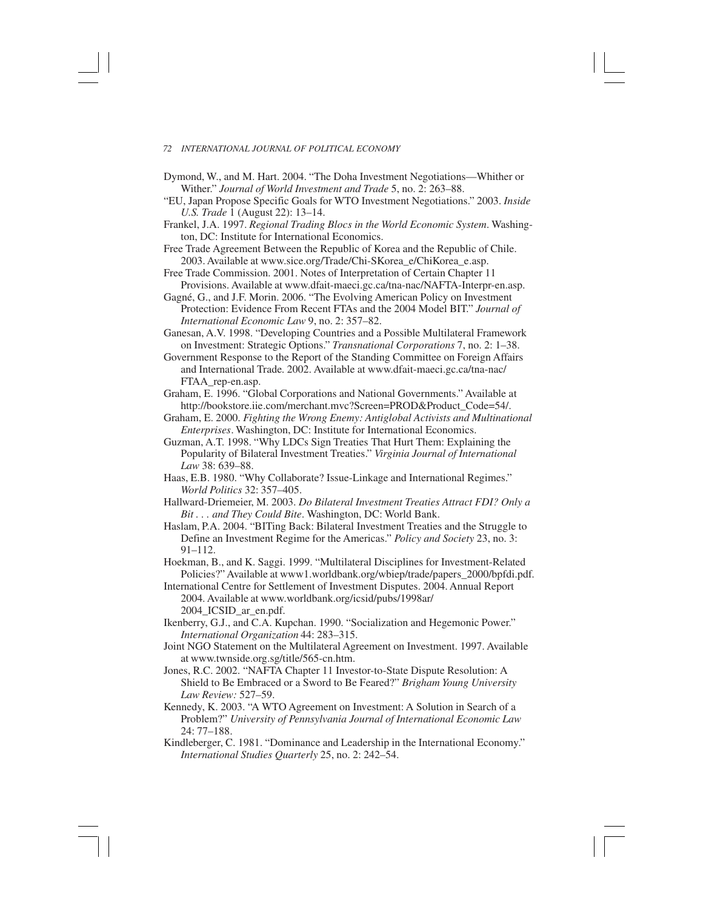- Dymond, W., and M. Hart. 2004. "The Doha Investment Negotiations—Whither or Wither." *Journal of World Investment and Trade* 5, no. 2: 263–88.
- "EU, Japan Propose Specific Goals for WTO Investment Negotiations." 2003. *Inside U.S. Trade* 1 (August 22): 13–14.
- Frankel, J.A. 1997. *Regional Trading Blocs in the World Economic System*. Washington, DC: Institute for International Economics.

Free Trade Agreement Between the Republic of Korea and the Republic of Chile. 2003. Available at www.sice.org/Trade/Chi-SKorea\_e/ChiKorea\_e.asp.

- Free Trade Commission. 2001. Notes of Interpretation of Certain Chapter 11 Provisions. Available at www.dfait-maeci.gc.ca/tna-nac/NAFTA-Interpr-en.asp.
- Gagné, G., and J.F. Morin. 2006. "The Evolving American Policy on Investment Protection: Evidence From Recent FTAs and the 2004 Model BIT." *Journal of International Economic Law* 9, no. 2: 357–82.
- Ganesan, A.V. 1998. "Developing Countries and a Possible Multilateral Framework on Investment: Strategic Options." *Transnational Corporations* 7, no. 2: 1–38.

Government Response to the Report of the Standing Committee on Foreign Affairs and International Trade. 2002. Available at www.dfait-maeci.gc.ca/tna-nac/ FTAA\_rep-en.asp.

Graham, E. 1996. "Global Corporations and National Governments." Available at http://bookstore.iie.com/merchant.mvc?Screen=PROD&Product\_Code=54/.

Graham, E. 2000. *Fighting the Wrong Enemy: Antiglobal Activists and Multinational Enterprises*. Washington, DC: Institute for International Economics.

- Guzman, A.T. 1998. "Why LDCs Sign Treaties That Hurt Them: Explaining the Popularity of Bilateral Investment Treaties." *Virginia Journal of International Law* 38: 639–88.
- Haas, E.B. 1980. "Why Collaborate? Issue-Linkage and International Regimes." *World Politics* 32: 357–405.
- Hallward-Driemeier, M. 2003. *Do Bilateral Investment Treaties Attract FDI? Only a Bit . . . and They Could Bite*. Washington, DC: World Bank.
- Haslam, P.A. 2004. "BITing Back: Bilateral Investment Treaties and the Struggle to Define an Investment Regime for the Americas." *Policy and Society* 23, no. 3: 91–112.
- Hoekman, B., and K. Saggi. 1999. "Multilateral Disciplines for Investment-Related Policies?" Available at www1.worldbank.org/wbiep/trade/papers\_2000/bpfdi.pdf.

International Centre for Settlement of Investment Disputes. 2004. Annual Report 2004. Available at www.worldbank.org/icsid/pubs/1998ar/ 2004\_ICSID\_ar\_en.pdf.

- Ikenberry, G.J., and C.A. Kupchan. 1990. "Socialization and Hegemonic Power." *International Organization* 44: 283–315.
- Joint NGO Statement on the Multilateral Agreement on Investment. 1997. Available at www.twnside.org.sg/title/565-cn.htm.

Jones, R.C. 2002. "NAFTA Chapter 11 Investor-to-State Dispute Resolution: A Shield to Be Embraced or a Sword to Be Feared?" *Brigham Young University Law Review:* 527–59.

Kennedy, K. 2003. "A WTO Agreement on Investment: A Solution in Search of a Problem?" *University of Pennsylvania Journal of International Economic Law* 24: 77–188.

Kindleberger, C. 1981. "Dominance and Leadership in the International Economy." *International Studies Quarterly* 25, no. 2: 242–54.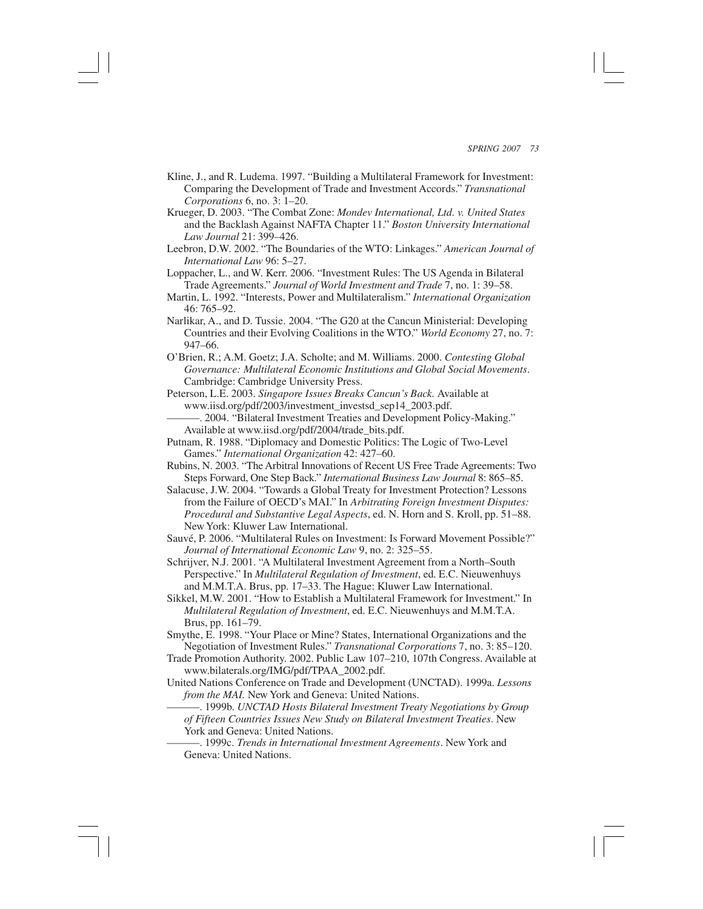- Kline, J., and R. Ludema. 1997. "Building a Multilateral Framework for Investment: Comparing the Development of Trade and Investment Accords." *Transnational Corporations* 6, no. 3: 1–20.
- Krueger, D. 2003. "The Combat Zone: *Mondev International, Ltd. v. United States* and the Backlash Against NAFTA Chapter 11." *Boston University International Law Journal* 21: 399–426.
- Leebron, D.W. 2002. "The Boundaries of the WTO: Linkages." *American Journal of International Law* 96: 5–27.
- Loppacher, L., and W. Kerr. 2006. "Investment Rules: The US Agenda in Bilateral Trade Agreements." *Journal of World Investment and Trade* 7, no. 1: 39–58.
- Martin, L. 1992. "Interests, Power and Multilateralism." *International Organization* 46: 765–92.
- Narlikar, A., and D. Tussie. 2004. "The G20 at the Cancun Ministerial: Developing Countries and their Evolving Coalitions in the WTO." *World Economy* 27, no. 7: 947–66.
- O'Brien, R.; A.M. Goetz; J.A. Scholte; and M. Williams. 2000. *Contesting Global Governance: Multilateral Economic Institutions and Global Social Movements*. Cambridge: Cambridge University Press.
- Peterson, L.E. 2003. *Singapore Issues Breaks Cancun's Back.* Available at www.iisd.org/pdf/2003/investment\_investsd\_sep14\_2003.pdf. ———. 2004. "Bilateral Investment Treaties and Development Policy-Making."
- Available at www.iisd.org/pdf/2004/trade\_bits.pdf. Putnam, R. 1988. "Diplomacy and Domestic Politics: The Logic of Two-Level Games." *International Organization* 42: 427–60.
- Rubins, N. 2003. "The Arbitral Innovations of Recent US Free Trade Agreements: Two Steps Forward, One Step Back." *International Business Law Journal* 8: 865–85.
- Salacuse, J.W. 2004. "Towards a Global Treaty for Investment Protection? Lessons from the Failure of OECD's MAI." In *Arbitrating Foreign Investment Disputes: Procedural and Substantive Legal Aspects*, ed. N. Horn and S. Kroll, pp. 51–88. New York: Kluwer Law International.
- Sauvé, P. 2006. "Multilateral Rules on Investment: Is Forward Movement Possible?" *Journal of International Economic Law* 9, no. 2: 325–55.
- Schrijver, N.J. 2001. "A Multilateral Investment Agreement from a North–South Perspective." In *Multilateral Regulation of Investment*, ed. E.C. Nieuwenhuys and M.M.T.A. Brus, pp. 17–33. The Hague: Kluwer Law International.
- Sikkel, M.W. 2001. "How to Establish a Multilateral Framework for Investment." In *Multilateral Regulation of Investment*, ed. E.C. Nieuwenhuys and M.M.T.A. Brus, pp. 161–79.

Smythe, E. 1998. "Your Place or Mine? States, International Organizations and the Negotiation of Investment Rules." *Transnational Corporations* 7, no. 3: 85–120.

Trade Promotion Authority. 2002. Public Law 107–210, 107th Congress. Available at www.bilaterals.org/IMG/pdf/TPAA\_2002.pdf.

- United Nations Conference on Trade and Development (UNCTAD). 1999a. *Lessons from the MAI.* New York and Geneva: United Nations.
- ———. 1999b. *UNCTAD Hosts Bilateral Investment Treaty Negotiations by Group of Fifteen Countries Issues New Study on Bilateral Investment Treaties*. New York and Geneva: United Nations.
- ———. 1999c. *Trends in International Investment Agreements*. New York and Geneva: United Nations.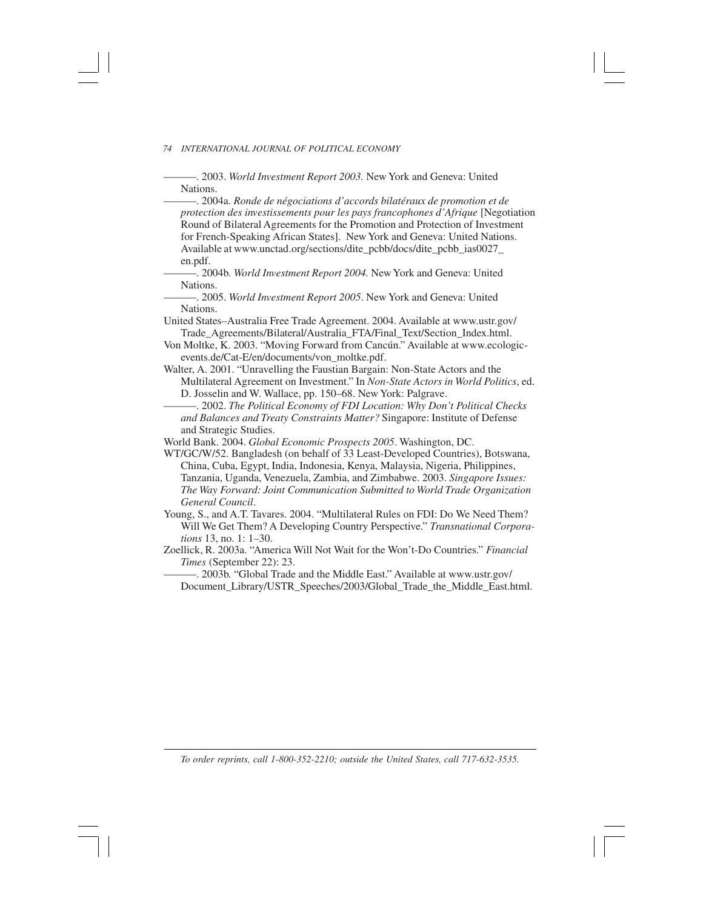———. 2003. *World Investment Report 2003.* New York and Geneva: United Nations.

———. 2004a. *Ronde de négociations d'accords bilatéraux de promotion et de protection des investissements pour les pays francophones d'Afrique* [Negotiation Round of Bilateral Agreements for the Promotion and Protection of Investment for French-Speaking African States]. New York and Geneva: United Nations. Available at www.unctad.org/sections/dite\_pcbb/docs/dite\_pcbb\_ias0027 en.pdf.

———. 2004b. *World Investment Report 2004.* New York and Geneva: United Nations.

———. 2005. *World Investment Report 2005*. New York and Geneva: United Nations.

United States–Australia Free Trade Agreement. 2004. Available at www.ustr.gov/ Trade\_Agreements/Bilateral/Australia\_FTA/Final\_Text/Section\_Index.html.

Von Moltke, K. 2003. "Moving Forward from Cancún." Available at www.ecologicevents.de/Cat-E/en/documents/von\_moltke.pdf.

Walter, A. 2001. "Unravelling the Faustian Bargain: Non-State Actors and the Multilateral Agreement on Investment." In *Non-State Actors in World Politics*, ed. D. Josselin and W. Wallace, pp. 150–68. New York: Palgrave.

———. 2002. *The Political Economy of FDI Location: Why Don't Political Checks and Balances and Treaty Constraints Matter?* Singapore: Institute of Defense and Strategic Studies.

World Bank. 2004. *Global Economic Prospects 2005*. Washington, DC.

WT/GC/W/52. Bangladesh (on behalf of 33 Least-Developed Countries), Botswana, China, Cuba, Egypt, India, Indonesia, Kenya, Malaysia, Nigeria, Philippines, Tanzania, Uganda, Venezuela, Zambia, and Zimbabwe. 2003. *Singapore Issues: The Way Forward: Joint Communication Submitted to World Trade Organization General Council*.

Young, S., and A.T. Tavares. 2004. "Multilateral Rules on FDI: Do We Need Them? Will We Get Them? A Developing Country Perspective." *Transnational Corporations* 13, no. 1: 1–30.

Zoellick, R. 2003a. "America Will Not Wait for the Won't-Do Countries." *Financial Times* (September 22): 23.

. 2003b. "Global Trade and the Middle East." Available at www.ustr.gov/ Document\_Library/USTR\_Speeches/2003/Global\_Trade\_the\_Middle\_East.html.

*To order reprints, call 1-800-352-2210; outside the United States, call 717-632-3535.*